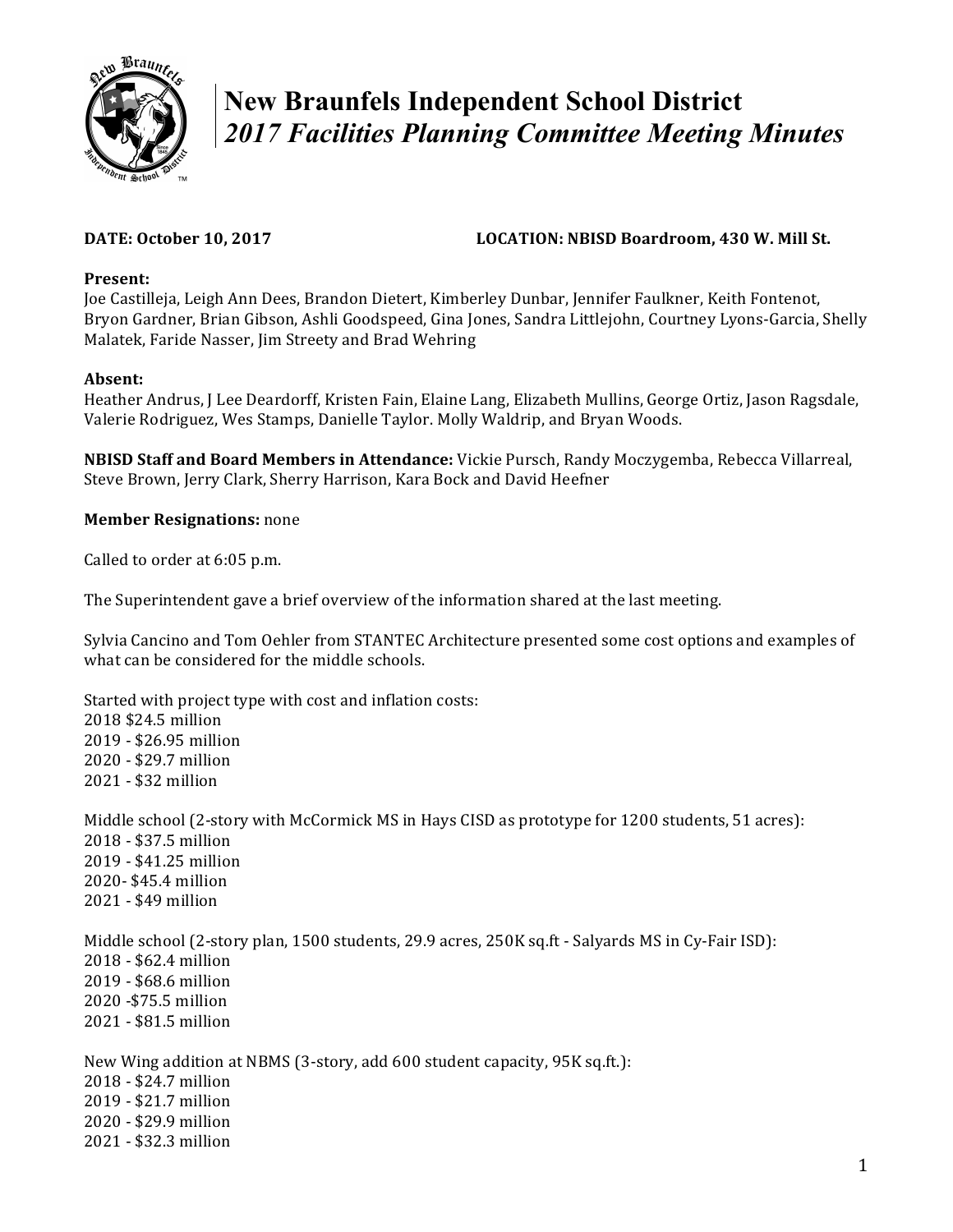

# **New Braunfels Independent School District**  *2017 Facilities Planning Committee Meeting Minutes*

# **DATE:** October 10, 2017 **LOCATION:** NBISD Boardroom, 430 W. Mill St.

### Present:

Joe Castilleja, Leigh Ann Dees, Brandon Dietert, Kimberley Dunbar, Jennifer Faulkner, Keith Fontenot, Bryon Gardner, Brian Gibson, Ashli Goodspeed, Gina Jones, Sandra Littlejohn, Courtney Lyons-Garcia, Shelly Malatek, Faride Nasser, Jim Streety and Brad Wehring

# **Absent:**

Heather Andrus, J Lee Deardorff, Kristen Fain, Elaine Lang, Elizabeth Mullins, George Ortiz, Jason Ragsdale, Valerie Rodriguez, Wes Stamps, Danielle Taylor. Molly Waldrip, and Bryan Woods.

**NBISD Staff and Board Members in Attendance:** Vickie Pursch, Randy Moczygemba, Rebecca Villarreal, Steve Brown, Jerry Clark, Sherry Harrison, Kara Bock and David Heefner

### **Member Resignations:** none

Called to order at 6:05 p.m.

The Superintendent gave a brief overview of the information shared at the last meeting.

Sylvia Cancino and Tom Oehler from STANTEC Architecture presented some cost options and examples of what can be considered for the middle schools.

Started with project type with cost and inflation costs: 2018 \$24.5 million 2019 - \$26.95 million 2020 - \$29.7 million 2021 - \$32 million

Middle school (2-story with McCormick MS in Hays CISD as prototype for 1200 students, 51 acres): 2018 - \$37.5 million 2019 - \$41.25 million 2020- \$45.4 million 2021 - \$49 million

Middle school (2-story plan, 1500 students, 29.9 acres, 250K sq.ft - Salyards MS in Cy-Fair ISD): 2018 - \$62.4 million 2019 - \$68.6 million 2020 -\$75.5 million 2021 - \$81.5 million 

New Wing addition at NBMS (3-story, add 600 student capacity, 95K sq.ft.): 2018 - \$24.7 million 2019 - \$21.7 million 2020 - \$29.9 million 2021 - \$32.3 million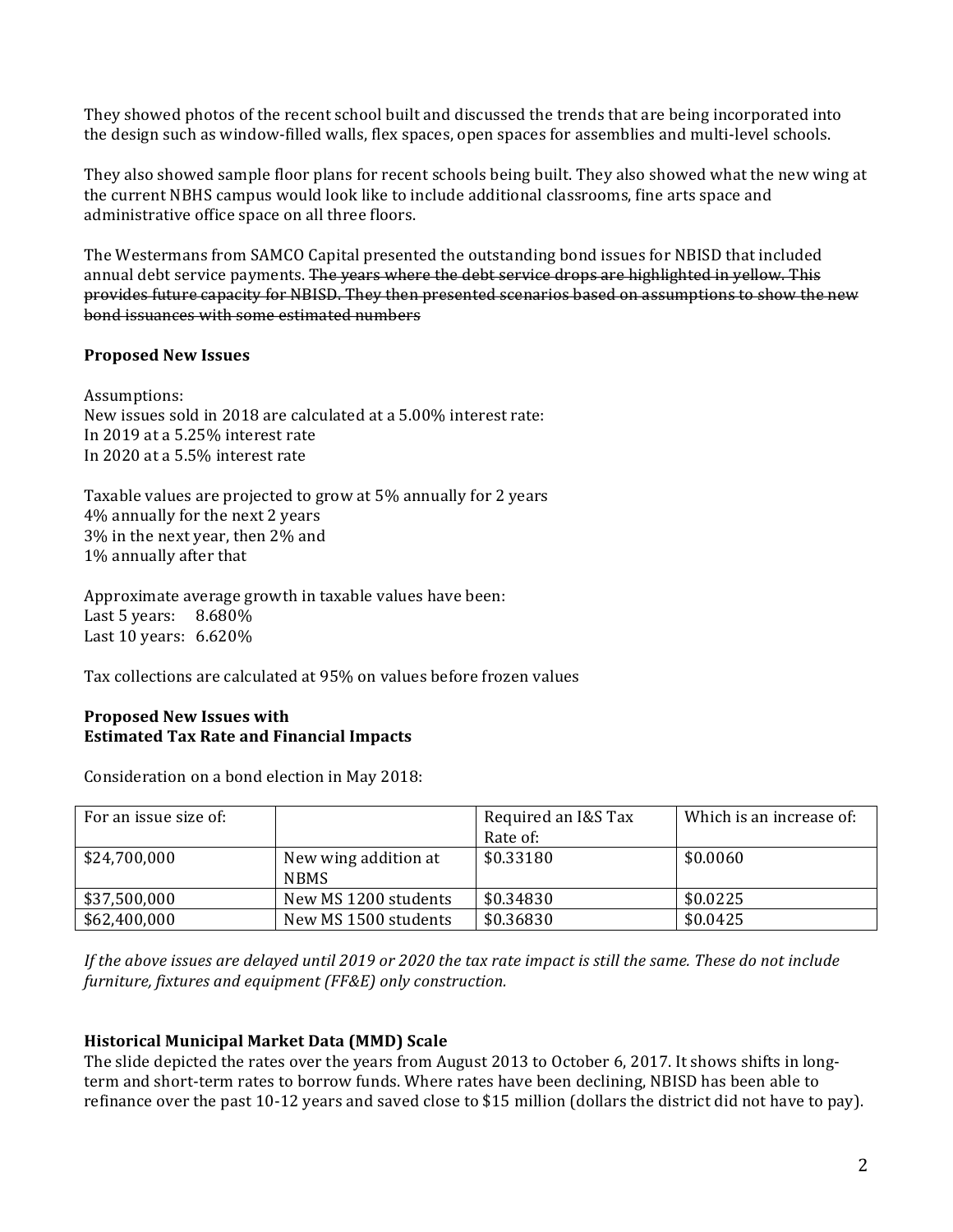They showed photos of the recent school built and discussed the trends that are being incorporated into the design such as window-filled walls, flex spaces, open spaces for assemblies and multi-level schools.

They also showed sample floor plans for recent schools being built. They also showed what the new wing at the current NBHS campus would look like to include additional classrooms, fine arts space and administrative office space on all three floors.

The Westermans from SAMCO Capital presented the outstanding bond issues for NBISD that included annual debt service payments. The years where the debt service drops are highlighted in yellow. This provides future capacity for NBISD. They then presented scenarios based on assumptions to show the new bond issuances with some estimated numbers

### **Proposed New Issues**

Assumptions: New issues sold in 2018 are calculated at a 5.00% interest rate: In 2019 at a 5.25% interest rate In 2020 at a 5.5% interest rate

Taxable values are projected to grow at 5% annually for 2 years 4% annually for the next 2 years 3% in the next year, then 2% and 1% annually after that

Approximate average growth in taxable values have been: Last 5 years:  $8.680\%$ Last  $10$  years:  $6.620\%$ 

Tax collections are calculated at 95% on values before frozen values

### **Proposed New Issues with Estimated Tax Rate and Financial Impacts**

Consideration on a bond election in May 2018:

| For an issue size of: |                                     | Required an I&S Tax<br>Rate of: | Which is an increase of: |
|-----------------------|-------------------------------------|---------------------------------|--------------------------|
| \$24,700,000          | New wing addition at<br><b>NBMS</b> | \$0.33180                       | \$0.0060                 |
| \$37,500,000          | New MS 1200 students                | \$0.34830                       | \$0.0225                 |
| \$62,400,000          | New MS 1500 students                | \$0.36830                       | \$0.0425                 |

*If* the above issues are delayed until 2019 or 2020 the tax rate impact is still the same. These do not include *furniture, fixtures and equipment (FF&E)* only construction.

# **Historical Municipal Market Data (MMD) Scale**

The slide depicted the rates over the years from August 2013 to October 6, 2017. It shows shifts in longterm and short-term rates to borrow funds. Where rates have been declining, NBISD has been able to refinance over the past 10-12 years and saved close to \$15 million (dollars the district did not have to pay).